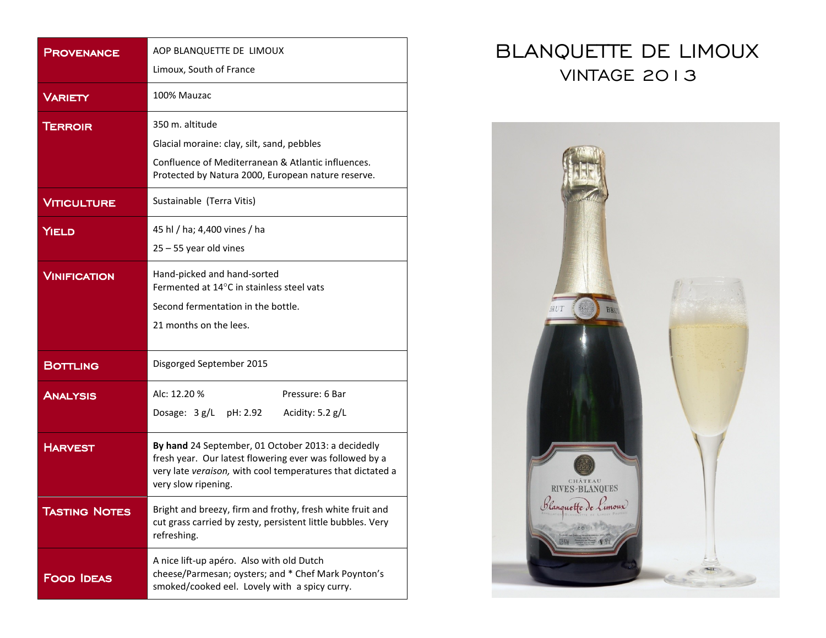| PROVENANCE           | AOP BLANQUETTE DE LIMOUX<br>Limoux, South of France                                                                                                                                                |
|----------------------|----------------------------------------------------------------------------------------------------------------------------------------------------------------------------------------------------|
| <b>VARIETY</b>       | 100% Mauzac                                                                                                                                                                                        |
| <b>TERROIR</b>       | 350 m. altitude<br>Glacial moraine: clay, silt, sand, pebbles<br>Confluence of Mediterranean & Atlantic influences.<br>Protected by Natura 2000, European nature reserve.                          |
| <b>VITICULTURE</b>   | Sustainable (Terra Vitis)                                                                                                                                                                          |
| <b>YIELD</b>         | 45 hl / ha; 4,400 vines / ha<br>$25 - 55$ year old vines                                                                                                                                           |
| <b>VINIFICATION</b>  | Hand-picked and hand-sorted<br>Fermented at 14°C in stainless steel vats<br>Second fermentation in the bottle.<br>21 months on the lees.                                                           |
| <b>BOTTLING</b>      | Disgorged September 2015                                                                                                                                                                           |
| <b>ANALYSIS</b>      | Alc: 12.20 %<br>Pressure: 6 Bar<br>Dosage: $3 g/L$<br>pH: 2.92<br>Acidity: $5.2$ g/L                                                                                                               |
| <b>HARVEST</b>       | By hand 24 September, 01 October 2013: a decidedly<br>fresh year. Our latest flowering ever was followed by a<br>very late veraison, with cool temperatures that dictated a<br>very slow ripening. |
| <b>TASTING NOTES</b> | Bright and breezy, firm and frothy, fresh white fruit and<br>cut grass carried by zesty, persistent little bubbles. Very<br>refreshing.                                                            |
| <b>FOOD IDEAS</b>    | A nice lift-up apéro. Also with old Dutch<br>cheese/Parmesan; oysters; and * Chef Mark Poynton's<br>smoked/cooked eel. Lovely with a spicy curry.                                                  |

## BLANQUETTE DE LIMOUX VINTAGE 2013